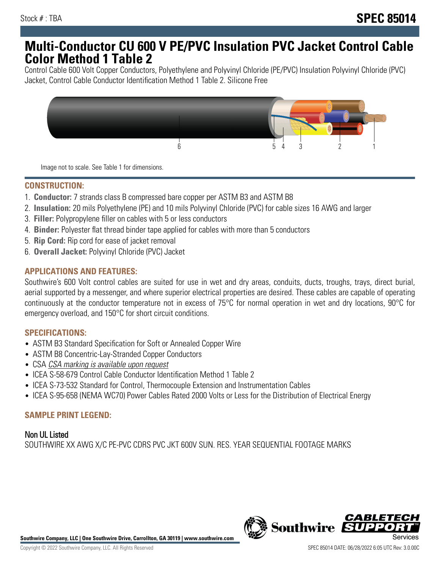# **Multi-Conductor CU 600 V PE/PVC Insulation PVC Jacket Control Cable Color Method 1 Table 2**

Control Cable 600 Volt Copper Conductors, Polyethylene and Polyvinyl Chloride (PE/PVC) Insulation Polyvinyl Chloride (PVC) Jacket, Control Cable Conductor Identification Method 1 Table 2. Silicone Free



Image not to scale. See Table 1 for dimensions.

#### **CONSTRUCTION:**

- 1. **Conductor:** 7 strands class B compressed bare copper per ASTM B3 and ASTM B8
- 2. **Insulation:** 20 mils Polyethylene (PE) and 10 mils Polyvinyl Chloride (PVC) for cable sizes 16 AWG and larger
- 3. **Filler:** Polypropylene filler on cables with 5 or less conductors
- 4. **Binder:** Polyester flat thread binder tape applied for cables with more than 5 conductors
- 5. **Rip Cord:** Rip cord for ease of jacket removal
- 6. **Overall Jacket:** Polyvinyl Chloride (PVC) Jacket

## **APPLICATIONS AND FEATURES:**

Southwire's 600 Volt control cables are suited for use in wet and dry areas, conduits, ducts, troughs, trays, direct burial, aerial supported by a messenger, and where superior electrical properties are desired. These cables are capable of operating continuously at the conductor temperature not in excess of 75°C for normal operation in wet and dry locations, 90°C for emergency overload, and 150°C for short circuit conditions.

#### **SPECIFICATIONS:**

- ASTM B3 Standard Specification for Soft or Annealed Copper Wire
- ASTM B8 Concentric-Lay-Stranded Copper Conductors
- CSA CSA marking is available upon request
- ICEA S-58-679 Control Cable Conductor Identification Method 1 Table 2
- ICEA S-73-532 Standard for Control, Thermocouple Extension and Instrumentation Cables
- ICEA S-95-658 (NEMA WC70) Power Cables Rated 2000 Volts or Less for the Distribution of Electrical Energy

#### **SAMPLE PRINT LEGEND:**

Non UL Listed SOUTHWIRE XX AWG X/C PE-PVC CDRS PVC JKT 600V SUN. RES. YEAR SEQUENTIAL FOOTAGE MARKS



**Southwire Company, LLC | One Southwire Drive, Carrollton, GA 30119 | www.southwire.com**